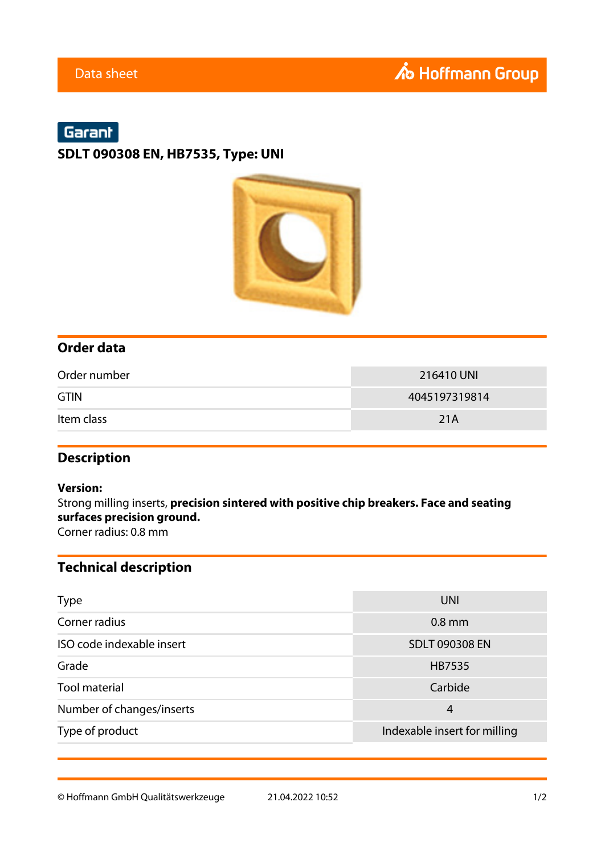## Garant

**SDLT 090308 EN, HB7535, Type: UNI**



## **Order data**

| Order number | 216410 UNI    |
|--------------|---------------|
| <b>GTIN</b>  | 4045197319814 |
| Item class   | 21A           |

## **Description**

#### **Version:**

Strong milling inserts, **precision sintered with positive chip breakers. Face and seating surfaces precision ground.**

Corner radius: 0.8 mm

## **Technical description**

| <b>Type</b>               | UNI                          |  |  |
|---------------------------|------------------------------|--|--|
| Corner radius             | $0.8$ mm                     |  |  |
| ISO code indexable insert | <b>SDLT 090308 EN</b>        |  |  |
| Grade                     | HB7535                       |  |  |
| <b>Tool material</b>      | Carbide                      |  |  |
| Number of changes/inserts | 4                            |  |  |
| Type of product           | Indexable insert for milling |  |  |